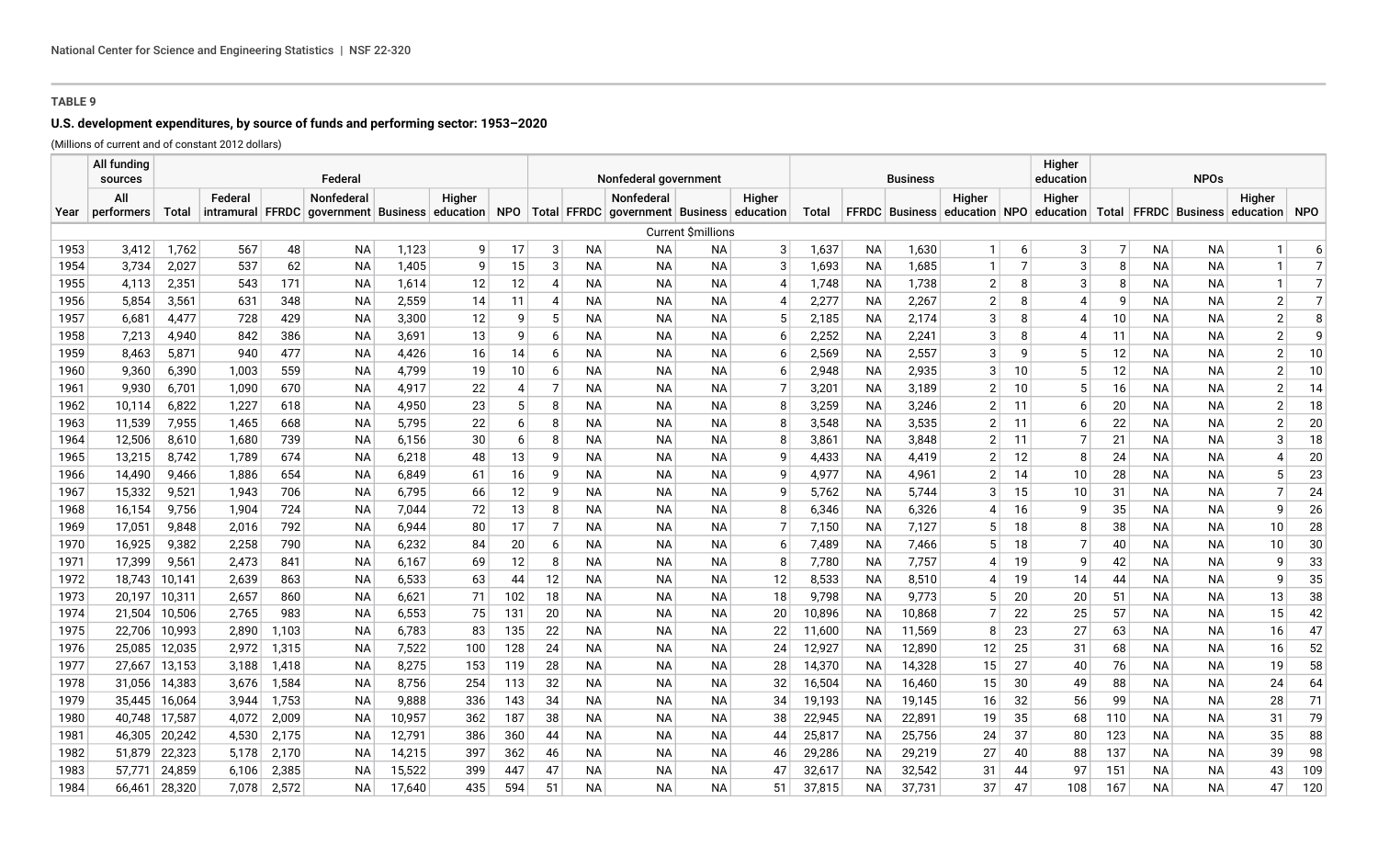# **U.S. development expenditures, by source of funds and performing sector: 1953–2020**

|              | All funding<br>sources |                |                |            | Federal                                                                                      |                |          |                |                |                        | Nonfederal government  |                        |                | Higher<br>education<br><b>Business</b> |                        |                |                                                                           |                 |                     |          | <b>NPOs</b>            |                        |                     |                |  |  |  |
|--------------|------------------------|----------------|----------------|------------|----------------------------------------------------------------------------------------------|----------------|----------|----------------|----------------|------------------------|------------------------|------------------------|----------------|----------------------------------------|------------------------|----------------|---------------------------------------------------------------------------|-----------------|---------------------|----------|------------------------|------------------------|---------------------|----------------|--|--|--|
|              | All                    |                | Federal        |            | Nonfederal                                                                                   |                | Higher   |                |                |                        | Nonfederal             |                        | Higher         |                                        |                        |                | Higher                                                                    |                 | Higher              |          |                        |                        | Higher              |                |  |  |  |
| Year         | performers             | Total          |                |            | intramural FFRDC government Business education NPO Total FFRDC government Business education |                |          |                |                |                        |                        |                        |                | Total                                  |                        |                | FFRDC Business education NPO education Total FFRDC Business education NPO |                 |                     |          |                        |                        |                     |                |  |  |  |
|              |                        |                |                |            |                                                                                              |                |          |                |                |                        |                        | Current \$millions     |                |                                        |                        |                |                                                                           |                 |                     |          |                        |                        |                     |                |  |  |  |
| 1953         | 3,412                  | 1,762          | 567            | 48         | <b>NA</b>                                                                                    | 1,123          | 9        | 17             | 3              | <b>NA</b>              | <b>NA</b>              | NA                     | 3 <sup>1</sup> | 1,637                                  | <b>NA</b>              | 1,630          | 1 <sup>1</sup>                                                            | $6 \mid$        | 3                   | 7        | <b>NA</b>              | <b>NA</b>              |                     | 6              |  |  |  |
| 1954         | 3,734                  | 2,027          | 537            | 62         | <b>NA</b>                                                                                    | 1,405          | q        | 15             | 3              | <b>NA</b>              | <b>NA</b>              | <b>NA</b>              | 3              | 1,693                                  | <b>NA</b>              | 1,685          | $\mathbf{1}$                                                              | $\overline{7}$  | 3                   | 8        | <b>NA</b>              | <b>NA</b>              |                     | $\overline{7}$ |  |  |  |
| 1955         | 4,113                  | 2,351          | 543            | 171        | <b>NA</b>                                                                                    | 1,614          | 12       | 12             | $\overline{4}$ | <b>NA</b>              | <b>NA</b>              | <b>NA</b>              | 4              | 1,748                                  | NА                     | 1,738          | 2                                                                         | 8               | 3                   | 8        | <b>NA</b>              | <b>NA</b>              |                     | $\overline{7}$ |  |  |  |
| 1956         | 5,854                  | 3,561          | 631            | 348        | ΝA                                                                                           | 2,559          | 14       | 11             | $\overline{4}$ | <b>NA</b>              | <b>NA</b>              | NA.                    | 4              | 2,277                                  | NА                     | 2,267          | 2                                                                         | 8               | 4                   | q        | <b>NA</b>              | NA                     | 2                   | $\overline{7}$ |  |  |  |
| 1957         | 6,681                  | 4,477          | 728            | 429        | <b>NA</b>                                                                                    | 3,300          | 12       | 9              | 5              | <b>NA</b>              | <b>NA</b>              | <b>NA</b>              | 5              | 2,185                                  | <b>NA</b>              | 2,174          | 3                                                                         | 8               | $\overline{4}$      | 10       | <b>NA</b>              | NA                     | $\overline{2}$      | 8              |  |  |  |
| 1958         | 7.213                  | 4,940          | 842            | 386        | <b>NA</b>                                                                                    | 3,691          | 13       | 9              | 6              | <b>NA</b>              | <b>NA</b>              | <b>NA</b>              | $6 \mid$       | 2,252                                  | <b>NA</b>              | 2,241          | 3                                                                         | 8               | $\overline{4}$      | 11       | <b>NA</b>              | <b>NA</b>              | $\overline{2}$      | 9              |  |  |  |
| 1959         | 8,463                  | 5,871          | 940            | 477        | <b>NA</b>                                                                                    | 4,426          | 16       | 14             | 6              | <b>NA</b>              | <b>NA</b>              | <b>NA</b>              | $6 \mid$       | 2,569                                  | <b>NA</b>              | 2,557          | 3                                                                         | 9               | 5                   | 12       | <b>NA</b>              | <b>NA</b>              | $\overline{2}$      | 10             |  |  |  |
| 1960         | 9,360                  | 6,390          | 1,003          | 559        | <b>NA</b>                                                                                    | 4,799          | 19       | 10             | 6              | <b>NA</b>              | <b>NA</b>              | <b>NA</b>              | $6 \mid$       | 2,948                                  | <b>NA</b>              | 2,935          | 3                                                                         | 10 <sup>1</sup> | 5                   | 12       | <b>NA</b>              | <b>NA</b>              | $\overline{2}$      | 10             |  |  |  |
| 1961         | 9,930                  | 6,701          | 1,090          | 670        | <b>NA</b>                                                                                    | 4,917          | 22       | $\overline{4}$ | 7              | <b>NA</b>              | <b>NA</b>              | <b>NA</b>              | $\overline{7}$ | 3,201                                  | <b>NA</b>              | 3,189          | $\overline{2}$                                                            | 10 <sup>°</sup> | 5                   | 16       | <b>NA</b>              | <b>NA</b>              | $\overline{2}$      | 14             |  |  |  |
| 1962         | 10,114                 | 6,822          | 1,227          | 618        | <b>NA</b>                                                                                    | 4,950          | 23       | 5              | 8              | <b>NA</b>              | <b>NA</b>              | <b>NA</b>              | 8              | 3,259                                  | <b>NA</b>              | 3,246          | $\overline{2}$                                                            | 11              | 6                   | 20       | <b>NA</b>              | <b>NA</b>              | $\overline{2}$      | 18             |  |  |  |
| 1963<br>1964 | 11,539<br>12,506       | 7,955          | 1,465<br>1,680 | 668<br>739 | <b>NA</b><br><b>NA</b>                                                                       | 5,795<br>6,156 | 22<br>30 | 6<br>6         | 8<br>8         | <b>NA</b><br><b>NA</b> | <b>NA</b><br><b>NA</b> | <b>NA</b><br><b>NA</b> | 8<br>8         | 3,548                                  | <b>NA</b><br><b>NA</b> | 3,535<br>3,848 | 2<br>2                                                                    | 11<br>11        | 6<br>$\overline{7}$ | 22<br>21 | <b>NA</b><br><b>NA</b> | <b>NA</b><br><b>NA</b> | $\overline{2}$<br>3 | 20<br>18       |  |  |  |
| 1965         | 13,215                 | 8,610<br>8,742 | 1,789          | 674        | <b>NA</b>                                                                                    | 6,218          | 48       | 13             | 9              | <b>NA</b>              | <b>NA</b>              | <b>NA</b>              | 9              | 3,861<br>4,433                         | <b>NA</b>              | 4,419          | $\overline{2}$                                                            | 12              | 8                   | 24       | <b>NA</b>              | <b>NA</b>              | 4                   | 20             |  |  |  |
| 1966         | 14,490                 | 9,466          | 1,886          | 654        | <b>NA</b>                                                                                    | 6,849          | 61       | 16             | 9              | <b>NA</b>              | <b>NA</b>              | <b>NA</b>              | $\mathsf{Q}$   | 4,977                                  | <b>NA</b>              | 4,961          | 2                                                                         | 14              | 10                  | 28       | <b>NA</b>              | NΑ                     | 5                   | 23             |  |  |  |
| 1967         | 15,332                 | 9,521          | 1,943          | 706        | <b>NA</b>                                                                                    | 6,795          | 66       | 12             | 9              | <b>NA</b>              | <b>NA</b>              | <b>NA</b>              | 9              | 5,762                                  | NА                     | 5,744          | 3                                                                         | 15              | 10                  | 31       | ΝA                     | <b>NA</b>              | $\overline{7}$      | 24             |  |  |  |
| 1968         | 16,154                 | 9,756          | 1,904          | 724        | <b>NA</b>                                                                                    | 7,044          | 72       | 13             | 8              | <b>NA</b>              | <b>NA</b>              | NA                     | 8              | 6,346                                  | <b>NA</b>              | 6,326          | 4                                                                         | 16              | 9                   | 35       | NА                     | ΝA                     | 9                   | 26             |  |  |  |
| 1969         | 17,051                 | 9,848          | 2,016          | 792        | <b>NA</b>                                                                                    | 6,944          | 80       | 17             | $\overline{7}$ | <b>NA</b>              | NА                     | <b>NA</b>              | 7              | 7,150                                  | <b>NA</b>              | 7,127          | 5                                                                         | 18              | 8                   | 38       | <b>NA</b>              | NA                     | 10                  | 28             |  |  |  |
| 1970         | 16,925                 | 9,382          | 2,258          | 790        | <b>NA</b>                                                                                    | 6,232          | 84       | 20             | 6              | <b>NA</b>              | <b>NA</b>              | <b>NA</b>              | $6 \mid$       | 7,489                                  | <b>NA</b>              | 7,466          | 5                                                                         | 18              | $\overline{7}$      | 40       | <b>NA</b>              | <b>NA</b>              | 10                  | 30             |  |  |  |
| 1971         | 17,399                 | 9,561          | 2,473          | 841        | <b>NA</b>                                                                                    | 6,167          | 69       | 12             | 8              | <b>NA</b>              | <b>NA</b>              | <b>NA</b>              | 8              | 7,780                                  | ΝA                     | 7,757          | 4                                                                         | 19              | 9                   | 42       | <b>NA</b>              | NA                     | 9                   | 33             |  |  |  |
| 1972         | 18,743                 | 10,141         | 2,639          | 863        | <b>NA</b>                                                                                    | 6,533          | 63       | 44             | 12             | <b>NA</b>              | <b>NA</b>              | <b>NA</b>              | 12             | 8,533                                  | <b>NA</b>              | 8,510          | 4                                                                         | 19              | 14                  | 44       | <b>NA</b>              | NA                     | 9                   | 35             |  |  |  |
| 1973         | 20,197                 | 10,311         | 2,657          | 860        | <b>NA</b>                                                                                    | 6,621          | 71       | 102            | 18             | <b>NA</b>              | <b>NA</b>              | <b>NA</b>              | 18             | 9,798                                  | <b>NA</b>              | 9,773          | 5                                                                         | 20              | 20                  | 51       | <b>NA</b>              | <b>NA</b>              | 13                  | 38             |  |  |  |
| 1974         | 21,504                 | 10,506         | 2,765          | 983        | <b>NA</b>                                                                                    | 6,553          | 75       | 131            | 20             | <b>NA</b>              | <b>NA</b>              | <b>NA</b>              | 20             | 10,896                                 | <b>NA</b>              | 10,868         | 7                                                                         | 22              | 25                  | 57       | <b>NA</b>              | <b>NA</b>              | 15                  | 42             |  |  |  |
| 1975         | 22,706                 | 10,993         | 2,890          | 1,103      | <b>NA</b>                                                                                    | 6,783          | 83       | 135            | 22             | <b>NA</b>              | NА                     | NA.                    | 22             | 11,600                                 | NА                     | 11,569         | 8                                                                         | 23              | 27                  | 63       | <b>NA</b>              | <b>NA</b>              | 16                  | 47             |  |  |  |
| 1976         | 25,085                 | 12,035         | 2,972          | 1,315      | <b>NA</b>                                                                                    | 7,522          | 100      | 128            | 24             | <b>NA</b>              | NА                     | NA.                    | 24             | 12,927                                 | <b>NA</b>              | 12,890         | 12                                                                        | 25              | 31                  | 68       | <b>NA</b>              | <b>NA</b>              | 16                  | 52             |  |  |  |
| 1977         | 27.667                 | 13,153         | 3,188          | 1,418      | <b>NA</b>                                                                                    | 8,275          | 153      | 119            | 28             | <b>NA</b>              | <b>NA</b>              | <b>NA</b>              | 28             | 14,370                                 | <b>NA</b>              | 14,328         | 15                                                                        | 27              | 40                  | 76       | <b>NA</b>              | <b>NA</b>              | 19                  | 58             |  |  |  |
| 1978         | 31,056                 | 14,383         | 3,676          | 1,584      | <b>NA</b>                                                                                    | 8,756          | 254      | 113            | 32             | NA                     | <b>NA</b>              | <b>NA</b>              | 32             | 16,504                                 | <b>NA</b>              | 16,460         | 15                                                                        | 30              | 49                  | 88       | <b>NA</b>              | <b>NA</b>              | 24                  | 64             |  |  |  |
| 1979         | 35.445                 | 16,064         | 3,944          | 1,753      | <b>NA</b>                                                                                    | 9,888          | 336      | 143            | 34             | <b>NA</b>              | <b>NA</b>              | <b>NA</b>              | 34             | 19,193                                 | <b>NA</b>              | 19,145         | 16                                                                        | 32              | 56                  | 99       | <b>NA</b>              | <b>NA</b>              | 28                  | 71             |  |  |  |
| 1980         | 40.748                 | 17,587         | 4,072          | 2,009      | <b>NA</b>                                                                                    | 10,957         | 362      | 187            | 38             | <b>NA</b>              | <b>NA</b>              | NA.                    | 38             | 22,945                                 | <b>NA</b>              | 22,891         | 19                                                                        | 35              | 68                  | 110      | <b>NA</b>              | NA                     | 31                  | 79             |  |  |  |
| 1981         | 46,305                 | 20,242         | 4,530          | 2,175      | <b>NA</b>                                                                                    | 12,791         | 386      | 360            | 44             | <b>NA</b>              | <b>NA</b>              | NA.                    | 44             | 25,817                                 | <b>NA</b>              | 25,756         | 24                                                                        | 37              | 80                  | 123      | <b>NA</b>              | <b>NA</b>              | 35                  | 88             |  |  |  |
| 1982         | 51,879                 | 22,323         | 5,178          | 2,170      | <b>NA</b>                                                                                    | 14,215         | 397      | 362            | 46             | <b>NA</b>              | <b>NA</b>              | NA.                    | 46             | 29,286                                 | NА                     | 29,219         | 27                                                                        | 40              | 88                  | 137      | <b>NA</b>              | <b>NA</b>              | 39                  | 98             |  |  |  |
| 1983         | 57.771                 | 24,859         | 6,106          | 2,385      | <b>NA</b>                                                                                    | 15,522         | 399      | 447            | 47             | <b>NA</b>              | <b>NA</b>              | <b>NA</b>              | 47             | 32,617                                 | <b>NA</b>              | 32,542         | 31                                                                        | 44              | 97                  | 151      | <b>NA</b>              | <b>NA</b>              | 43                  | 109            |  |  |  |
| 1984         | 66,461                 | 28,320         | 7,078          | 2,572      | <b>NA</b>                                                                                    | 17,640         | 435      | 594            | 51             | <b>NA</b>              | <b>NA</b>              | <b>NA</b>              | 51             | 37,815                                 | <b>NA</b>              | 37,731         | 37                                                                        | 47              | 108                 | 167      | <b>NA</b>              | NA                     | 47                  | 120            |  |  |  |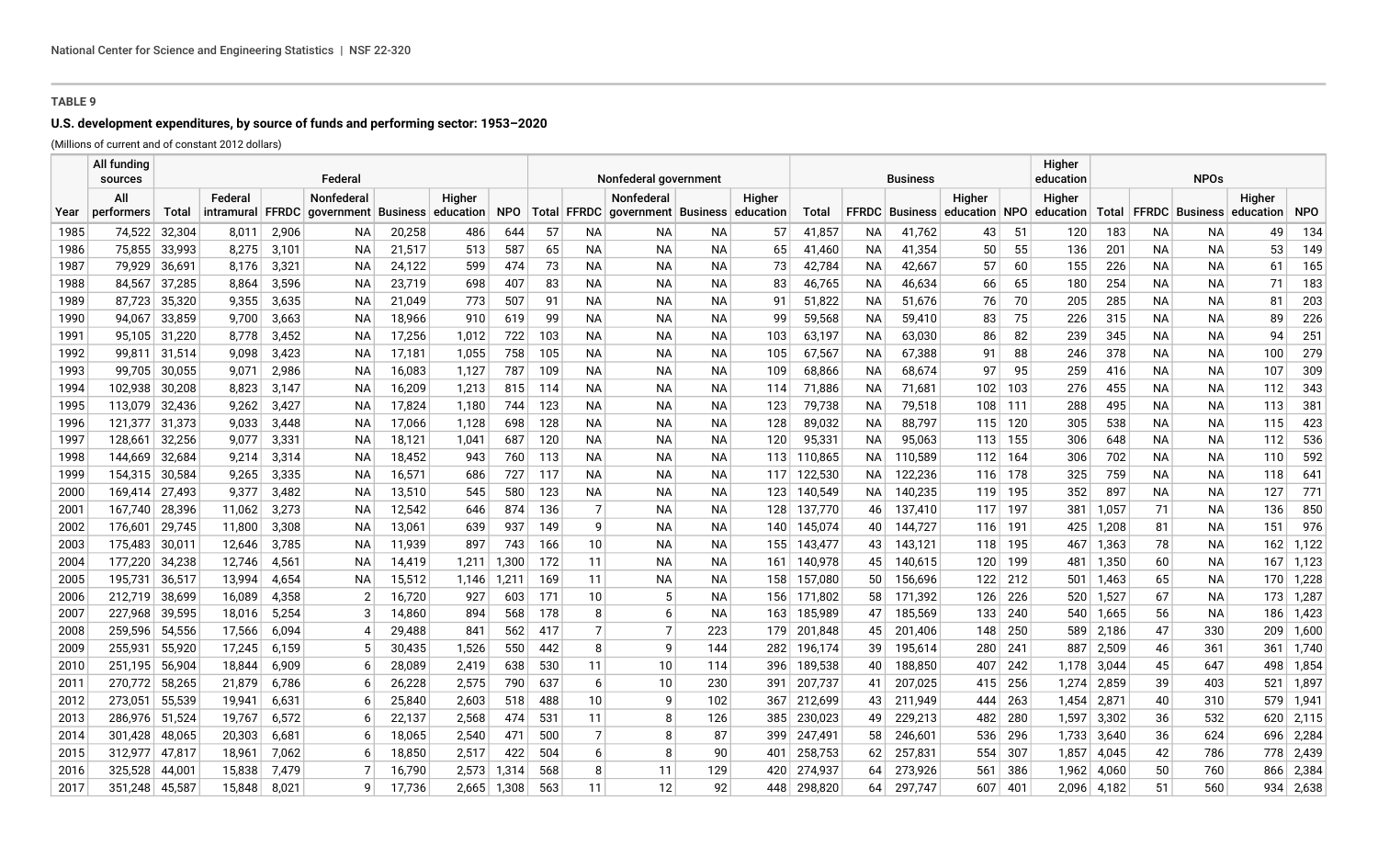# **U.S. development expenditures, by source of funds and performing sector: 1953–2020**

|              | All funding<br>sources |                                                                                            |                  |                | Federal                |                  |            |                | Nonfederal government |                |                                           |                        |            |                    |                 | Business              |               |            | Higher<br>education | <b>NPOs</b>    |           |                          |            |              |  |  |
|--------------|------------------------|--------------------------------------------------------------------------------------------|------------------|----------------|------------------------|------------------|------------|----------------|-----------------------|----------------|-------------------------------------------|------------------------|------------|--------------------|-----------------|-----------------------|---------------|------------|---------------------|----------------|-----------|--------------------------|------------|--------------|--|--|
|              | All                    | Nonfederal<br>Federal<br><b>Total</b><br><b>FFRDC</b><br>government Business<br>intramural |                  |                |                        |                  | Higher     |                |                       |                | <b>Nonfederal</b>                         |                        | Higher     |                    |                 |                       | Higher        |            | Higher              |                |           |                          | Higher     |              |  |  |
| Year         | performers             |                                                                                            |                  |                |                        |                  | education  | <b>NPO</b>     |                       |                | Total FFRDC government Business education |                        |            | Total              |                 | <b>FFRDC</b> Business | education NPO |            | education           |                |           | Total   FFRDC   Business | education  | <b>NPO</b>   |  |  |
| 1985         | 74,522                 | 32,304                                                                                     | 8,011            | 2,906          | NА                     | 20,258           | 486        | 644            | 57                    | ΝA             | NА                                        | NА                     | 57         | 41,857             | NA              | 41,762                | 43            | 51         | 120                 | 183            | NА        | NA.                      | 49         | 134          |  |  |
| 1986         | 75,855                 | 33,993                                                                                     | 8,275            | 3,101          | <b>NA</b>              | 21,517           | 513        | 587            | 65                    | <b>NA</b>      | <b>NA</b>                                 | <b>NA</b>              | 65         | 41,460             | NA              | 41,354                | 50            | 55         | 136                 | 201            | NA.       | <b>NA</b>                | 53         | 149          |  |  |
| 1987         | 79,929                 | 36,691                                                                                     | 8,176            | 3,321          | <b>NA</b>              | 24,122           | 599        | 474            | 73                    | <b>NA</b>      | <b>NA</b>                                 | <b>NA</b>              | 73         | 42,784             | ΝA              | 42,667                | 57            | 60         | 155                 | 226            | <b>NA</b> | <b>NA</b>                | 61         | 165          |  |  |
| 1988         | 84,567                 | 37,285                                                                                     | 8,864            | 3,596          | <b>NA</b>              | 23,719           | 698        | 407            | 83                    | <b>NA</b>      | <b>NA</b>                                 | <b>NA</b>              | 83         | 46,765             | ΝA              | 46,634                | 66            | 65         | 180                 | 254            | <b>NA</b> | NA.                      | 71         | 183          |  |  |
| 1989         | 87,723                 | 35,320                                                                                     | 9,355            | 3,635          | <b>NA</b>              | 21,049           | 773        | 507            | 91                    | <b>NA</b>      | <b>NA</b>                                 | <b>NA</b>              | 91         | 51,822             | ΝA              | 51,676                | 76            | 70         | 205                 | 285            | NА        | NA.                      | 81         | 203          |  |  |
| 1990         | 94.067                 | 33,859                                                                                     | 9.700            | 3,663          | <b>NA</b>              | 18,966           | 910        | 619            | 99                    | <b>NA</b>      | <b>NA</b>                                 | <b>NA</b>              | 99         | 59,568             | NA              | 59,410                | 83            | 75         | 226                 | 315            | NA.       | <b>NA</b>                | 89         | 226          |  |  |
| 1991         | 95.105                 | 31,220                                                                                     | 8.778            | 3,452          | <b>NA</b>              | 17,256           | 1,012      | 722            | 103                   | <b>NA</b>      | <b>NA</b>                                 | <b>NA</b>              | 103        | 63,197             | NA              | 63,030                | 86            | 82         | 239                 | 345            | NA.       | <b>NA</b>                | 94         | 251          |  |  |
| 1992         | 99.811                 | 31,514                                                                                     | 9.098            | 3,423          | <b>NA</b>              | 17,181           | 1,055      | 758            | 105                   | <b>NA</b>      | <b>NA</b>                                 | <b>NA</b>              | 105        | 67,567             | <b>NA</b>       | 67,388                | 91            | 88         | 246                 | 378            | <b>NA</b> | <b>NA</b>                | 100        | 279          |  |  |
| 1993         | 99,705                 | 30,055                                                                                     | 9,071            | 2,986          | <b>NA</b>              | 16,083           | 1,127      | 787            | 109                   | <b>NA</b>      | <b>NA</b>                                 | <b>NA</b>              | 109        | 68,866             | NA              | 68,674                | 97            | 95         | 259                 | 416            | NA        | <b>NA</b>                | 107        | 309          |  |  |
| 1994         | 102,938                | 30,208                                                                                     | 8,823            | 3,147          | ΝA                     | 16,209           | 1,213      | 815            | 114                   | <b>NA</b>      | ΝA                                        | NA                     | 114        | 71,886             | NА              | 71,681                | 102           | 103        | 276                 | 455            | NА        | NА                       | 112        | 343          |  |  |
| 1995         | 113,079                | 32,436                                                                                     | 9,262            | 3,427          | ΝA                     | 17,824           | 1,180      | 744            | 123                   | <b>NA</b>      | NА                                        | NA                     | 123        | 79,738             | NА              | 79,518                | 108           | 111        | 288                 | 495            | NА        | NА                       | 113        | 381          |  |  |
| 1996         | 121,377                | 31,373                                                                                     | 9,033            | 3,448          | ΝA                     | 17,066           | 1,128      | 698            | 128                   | <b>NA</b>      | NA                                        | NA                     | 128        | 89,032             | ΝA              | 88,797                | 115           | 120        | 305                 | 538            | NА        | <b>NA</b>                | 115        | 423          |  |  |
| 1997         | 128,661                | 32,256                                                                                     | 9,077            | 3,331          | ΝA                     | 18,121           | 1,041      | 687            | 120                   | <b>NA</b>      | NA                                        | NA                     | 120        | 95,331             | NA              | 95,063                | 113           | 155        | 306                 | 648            | NА        | <b>NA</b>                | 112        | 536          |  |  |
| 1998         | 144,669                | 32,684                                                                                     | 9,214            | 3,314          | ΝA                     | 18,452           | 943        | 760            | 113                   | <b>NA</b>      | NА                                        | <b>NA</b>              | 113        | 110,865            | NA.             | 110,589               | 112           | 164        | 306                 | 702            | NA        | <b>NA</b>                | 110        | 592          |  |  |
| 1999         | 154,315                | 30,584                                                                                     | 9,265            | 3,335          | <b>NA</b>              | 16,571           | 686        | 727            | 117                   | <b>NA</b>      | <b>NA</b>                                 | <b>NA</b>              | 117        | 122,530            | NA l            | 122,236               | 116           | 178        | 325                 | 759            | <b>NA</b> | <b>NA</b>                | 118        | 641          |  |  |
| 2000         | 169,414                | 27,493                                                                                     | 9,377            | 3,482          | <b>NA</b>              | 13,510           | 545        | 580            | 123                   | <b>NA</b>      | <b>NA</b>                                 | <b>NA</b>              | 123        | 140,549            | NA l            | 140,235               | 119           | 195        | 352                 | 897            | <b>NA</b> | <b>NA</b>                | 127        | 771          |  |  |
| 2001         | 167,740                | 28,396                                                                                     | 11,062           | 3,273          | <b>NA</b>              | 12,542           | 646        | 874            | 136                   | $\overline{7}$ | NA                                        | <b>NA</b>              | 128        | 137,770            | 46              | 137,410               | 117           | 197        | 381                 | 1,057          | 71        | NA.                      | 136        | 850          |  |  |
| 2002         | 176,601<br>175,483     | 29,745                                                                                     | 11,800<br>12,646 | 3,308<br>3,785 | <b>NA</b>              | 13,061<br>11,939 | 639<br>897 | 937<br>743     | 149                   | 9<br>10        | <b>NA</b><br><b>NA</b>                    | <b>NA</b><br><b>NA</b> | 140        | 145,074            | 40              | 144,727<br>143,121    | 116           | 191        | 425                 | 1,208          | 81<br>78  | <b>NA</b>                | 151<br>162 | 976<br>1,122 |  |  |
| 2003         | 177,220                | 30,011<br>34,238                                                                           | 12,746           | 4,561          | <b>NA</b><br><b>NA</b> | 14,419           | 1,211      |                | 166<br>172            | 11             | <b>NA</b>                                 | <b>NA</b>              | 155<br>161 | 143,477            | 43<br>45        | 140,615               | 118<br>120    | 195<br>199 | 467                 | 1,363          | 60        | <b>NA</b><br><b>NA</b>   | 167        | 1,123        |  |  |
| 2004<br>2005 | 195.731                | 36,517                                                                                     | 13,994           | 4,654          | <b>NA</b>              | 15,512           | 1,146      | 1,300<br>1,211 | 169                   | 11             | <b>NA</b>                                 | <b>NA</b>              | 158        | 140,978<br>157,080 | 50              | 156,696               | 122           | 212        | 481<br>501          | 1,350<br>1,463 | 65        | <b>NA</b>                | 170        | 1,228        |  |  |
| 2006         | 212,719                | 38,699                                                                                     | 16,089           | 4,358          | -2                     | 16,720           | 927        | 603            | 171                   | 10             | 5                                         | NA                     | 156        | 171,802            | 58              | 171,392               | 126           | 226        | 520                 | 1,527          | 67        | <b>NA</b>                | 173        | 1,287        |  |  |
| 2007         | 227,968                | 39,595                                                                                     | 18,016           | 5,254          | -3                     | 14,860           | 894        | 568            | 178                   | 8              | 6                                         | <b>NA</b>              | 163        | 185,989            | 47              | 185,569               | 133           | 240        | 540                 | 1,665          | 56        | <b>NA</b>                | 186        | 1,423        |  |  |
| 2008         | 259,596                | 54,556                                                                                     | 17,566           | 6,094          | 4                      | 29,488           | 841        | 562            | 417                   | $\overline{7}$ | $\overline{7}$                            | 223                    | 179        | 201,848            | 45              | 201,406               | 148           | 250        | 589                 | 2,186          | 47        | 330                      | 209        | 1,600        |  |  |
| 2009         | 255,931                | 55,920                                                                                     | 17,245           | 6,159          |                        | 30,435           | 1,526      | 550            | 442                   | 8              | 9                                         | 144                    | 282        | 196,174            | 39              | 195,614               | 280           | 241        | 887                 | 2,509          | 46        | 361                      | 361        | 1,740        |  |  |
| 2010         | 251,195                | 56,904                                                                                     | 18,844           | 6,909          | -6                     | 28,089           | 2,419      | 638            | 530                   | 11             | 10                                        | 114                    | 396        | 189,538            | 40              | 188,850               | 407           | 242        | 1,178               | 3,044          | 45        | 647                      | 498        | 1,854        |  |  |
| 2011         | 270,772                | 58,265                                                                                     | 21,879           | 6,786          | -6                     | 26,228           | 2,575      | 790            | 637                   | 6              | 10                                        | 230                    | 391        | 207,737            | 41              | 207,025               | 415           | 256        | 1,274               | 2,859          | 39        | 403                      | 521        | 1,897        |  |  |
| 2012         | 273,051                | 55,539                                                                                     | 19,941           | 6,631          | -6                     | 25,840           | 2,603      | 518            | 488                   | 10             | 9                                         | 102                    | 367        | 212,699            | 43              | 211,949               | 444           | 263        | 1,454               | 2,871          | 40        | 310                      | 579        | 1,941        |  |  |
| 2013         | 286,976                | 51,524                                                                                     | 19,767           | 6,572          | -6                     | 22,137           | 2,568      | 474            | 531                   | 11             | 8                                         | 126                    | 385        | 230,023            | 49              | 229,213               | 482           | 280        | 1,597               | 3,302          | 36        | 532                      | 620        | 2,115        |  |  |
| 2014         | 301,428                | 48,065                                                                                     | 20,303           | 6,681          | -6                     | 18,065           | 2,540      | 471            | 500                   | $\overline{7}$ | 8                                         | 87                     | 399        | 247,491            | 58 <sup>°</sup> | 246,601               | 536           | 296        | 1,733               | 3,640          | 36        | 624                      | 696        | 2,284        |  |  |
| 2015         | 312,977                | 47,817                                                                                     | 18.961           | 7,062          | -6                     | 18,850           | 2,517      | 422            | 504                   | 6              | 8                                         | 90                     | 401        | 258,753            | 62              | 257,831               | 554           | 307        | 1,857               | 4,045          | 42        | 786                      | 778        | 2,439        |  |  |
| 2016         | 325,528                | 44,001                                                                                     | 15,838           | 7,479          |                        | 16,790           | 2,573      | ,314           | 568                   | 8              | 11                                        | 129                    | 420        | 274,937            | 64              | 273,926               | 561           | 386        | 1,962               | 4,060          | 50        | 760                      | 866        | 2,384        |  |  |
| 2017         | 351.248                | 45,587                                                                                     | 15,848           | 8,021          |                        | 17.736           | 2.665      | 1,308          | 563                   | 11             | 12                                        | 92                     | 448        | 298,820            | 64              | 297.747               | 607           | 401        | 2,096               | 4.182          | 51        | 560                      | 934        | 2,638        |  |  |
|              |                        |                                                                                            |                  |                |                        |                  |            |                |                       |                |                                           |                        |            |                    |                 |                       |               |            |                     |                |           |                          |            |              |  |  |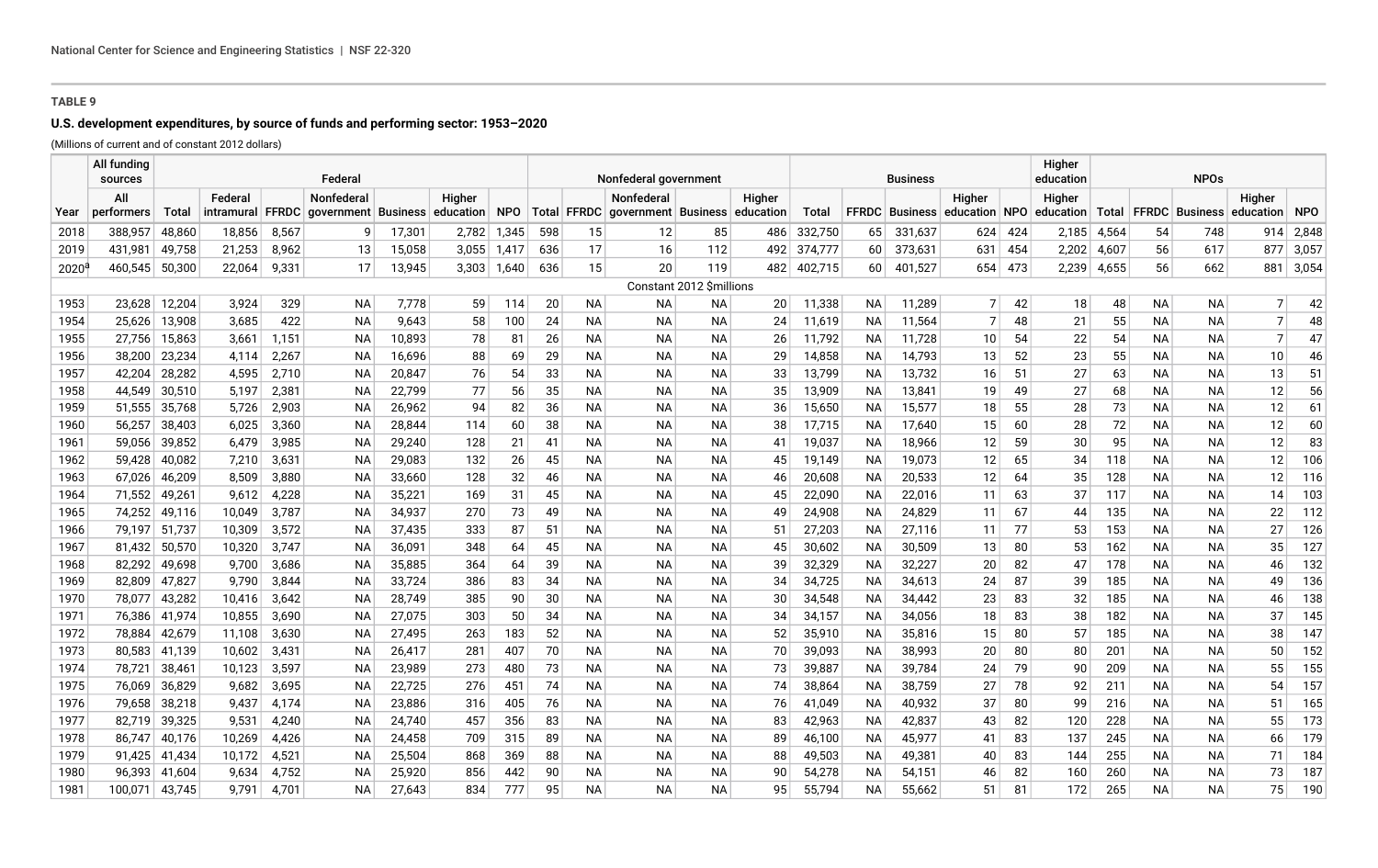# **U.S. development expenditures, by source of funds and performing sector: 1953–2020**

|                | All funding<br>sources |                  |                |                | Federal                                    |                  |            |            | Nonfederal government |                 |                                                   |                          |          |                  | Higher<br>education<br><b>Business</b> |                       |                 |          |                         |            | <b>NPOs</b>            |                          |           |            |  |  |
|----------------|------------------------|------------------|----------------|----------------|--------------------------------------------|------------------|------------|------------|-----------------------|-----------------|---------------------------------------------------|--------------------------|----------|------------------|----------------------------------------|-----------------------|-----------------|----------|-------------------------|------------|------------------------|--------------------------|-----------|------------|--|--|
|                | All                    |                  | Federal        |                | Nonfederal                                 |                  | Higher     |            |                       |                 | Nonfederal                                        |                          | Higher   |                  |                                        |                       | Higher          |          | Higher                  |            |                        |                          | Higher    |            |  |  |
| Year           | performers             | Total            | intramural     |                | <b>FFRDC</b> government Business education |                  |            | <b>NPO</b> |                       |                 | Total   FFRDC   government   Business   education |                          |          | Total            |                                        | <b>FFRDC</b> Business |                 |          | education NPO education |            |                        | Total   FFRDC   Business | education | <b>NPO</b> |  |  |
| 2018           | 388,957                | 48,860           | 18,856         | 8,567          | 9                                          | 17,301           | 2,782      | 1,345      | 598                   | 15              | 12                                                | 85                       | 486      | 332,750          | 65                                     | 331,637               | 624             | 424      | 2,185                   | 4,564      | 54                     | 748                      | 914       | 2,848      |  |  |
| 2019           | 431,981                | 49,758           | 21,253         | 8,962          | 13                                         | 15,058           | 3,055      | 1,417      | 636                   | 17              | 16                                                | 112                      | 492      | 374,777          | 60 <sup>1</sup>                        | 373,631               | 631             | 454      | 2,202                   | 4,607      | 56                     | 617                      | 877       | 3,057      |  |  |
| $2020^{\circ}$ | 460.545                | 50,300           | 22,064         | 9,331          | 17                                         | 13,945           | 3.303      | 1,640      | 636                   | 15              | 20                                                | 119                      | 482      | 402,715          | 60                                     | 401,527               | 654             | 473      | 2,239                   | 4,655      | 56                     | 662                      | 881       | 3,054      |  |  |
|                |                        |                  |                |                |                                            |                  |            |            |                       |                 |                                                   | Constant 2012 \$millions |          |                  |                                        |                       |                 |          |                         |            |                        |                          |           |            |  |  |
| 1953           | 23,628                 | 12,204           | 3,924          | 329            | <b>NA</b>                                  | 7,778            | 59         | 114        | 20                    | <b>NA</b>       | ΝA                                                | NА                       | 20       | 11,338           | NА                                     | 11,289                | 7               | 42       | 18                      | 48         | <b>NA</b>              | <b>NA</b>                | 7         | 42         |  |  |
| 1954           | 25,626                 | 13,908           | 3,685          | 422            | NA                                         | 9,643            | 58         | 100        | 24                    | <b>NA</b>       | <b>NA</b>                                         | <b>NA</b>                | 24       | 11,619           | NА                                     | 11,564                | 7 <sup>1</sup>  | 48       | 21                      | 55         | <b>NA</b>              | NA.                      | 7         | 48         |  |  |
| 1955           | 27,756                 | 15,863           | 3,661          | 1,151          | ΝA                                         | 10,893           | 78         | 81         | 26                    | <b>NA</b>       | <b>NA</b>                                         | <b>NA</b>                | 26       | 11,792           | NA.                                    | 11,728                | 10 <sup>1</sup> | 54       | 22                      | 54         | <b>NA</b>              | NA.                      | 7         | 47         |  |  |
| 1956           | 38,200                 | 23,234           | 4,114          | 2,267          | <b>NA</b>                                  | 16,696           | 88         | 69         | 29                    | <b>NA</b>       | <b>NA</b>                                         | <b>NA</b>                | 29       | 14,858           | <b>NA</b>                              | 14,793                | 13              | 52       | 23                      | 55         | <b>NA</b>              | <b>NA</b>                | 10        | 46         |  |  |
| 1957           | 42,204                 | 28,282           | 4,595          | 2,710          | <b>NA</b>                                  | 20,847           | 76         | 54         | 33                    | <b>NA</b>       | <b>NA</b>                                         | <b>NA</b>                | 33       | 13,799           | <b>NA</b>                              | 13,732                | 16              | 51       | 27                      | 63         | <b>NA</b>              | <b>NA</b>                | 13        | 51         |  |  |
| 1958           | 44.549                 | 30,510           | 5,197          | 2,381          | <b>NA</b>                                  | 22,799           | 77         | 56         | 35                    | <b>NA</b>       | <b>NA</b>                                         | <b>NA</b>                | 35       | 13,909           | <b>NA</b>                              | 13,841                | 19              | 49       | 27                      | 68         | <b>NA</b>              | <b>NA</b>                | 12        | 56         |  |  |
| 1959           | 51,555                 | 35,768           | 5,726          | 2,903          | <b>NA</b>                                  | 26,962           | 94         | 82         | 36                    | <b>NA</b>       | <b>NA</b>                                         | <b>NA</b>                | 36       | 15,650           | <b>NA</b>                              | 15,577                | 18              | 55       | 28                      | 73         | <b>NA</b>              | <b>NA</b>                | 12        | 61         |  |  |
| 1960           | 56,257                 | 38,403           | 6,025          | 3,360          | <b>NA</b>                                  | 28,844           | 114        | 60         | 38                    | <b>NA</b>       | NА                                                | NА                       | 38       | 17,715           | <b>NA</b>                              | 17,640                | 15              | 60       | 28                      | 72         | <b>NA</b>              | NА                       | 12        | 60         |  |  |
| 1961           | 59,056                 | 39,852           | 6,479          | 3,985          | <b>NA</b>                                  | 29,240           | 128        | 21         | 41                    | <b>NA</b>       | NА                                                | NA.                      | 41       | 19,037           | ΝA                                     | 18,966                | 12              | 59       | 30                      | 95         | <b>NA</b>              | NA.                      | 12        | 83         |  |  |
| 1962           | 59,428                 | 40,082           | 7,210          | 3,631          | <b>NA</b>                                  | 29,083           | 132        | 26         | 45                    | <b>NA</b>       | NА                                                | <b>NA</b>                | 45       | 19,149           | ΝA                                     | 19,073                | 12              | 65       | 34                      | 118        | <b>NA</b>              | <b>NA</b>                | 12        | 106        |  |  |
| 1963           | 67,026                 | 46,209           | 8,509          | 3,880          | <b>NA</b>                                  | 33,660           | 128        | 32         | 46                    | <b>NA</b>       | <b>NA</b>                                         | <b>NA</b>                | 46       | 20,608           | ΝA                                     | 20,533                | 12              | 64       | 35                      | 128        | <b>NA</b>              | <b>NA</b>                | 12        | 116        |  |  |
| 1964           | 71,552                 | 49,261           | 9,612          | 4,228          | <b>NA</b>                                  | 35,221           | 169        | 31         | 45                    | NA              | <b>NA</b>                                         | <b>NA</b>                | 45       | 22,090           | <b>NA</b>                              | 22,016                | 11              | 63       | 37                      | 117        | <b>NA</b>              | <b>NA</b>                | 14        | 103        |  |  |
| 1965           | 74,252                 | 49,116           | 10,049         | 3,787          | <b>NA</b>                                  | 34,937           | 270        | 73         | 49                    | <b>NA</b>       | <b>NA</b>                                         | <b>NA</b>                | 49       | 24,908           | <b>NA</b>                              | 24,829                | 11              | 67       | 44                      | 135        | <b>NA</b>              | <b>NA</b>                | 22        | 112        |  |  |
| 1966           | 79,197                 | 51,737           | 10,309         | 3,572          | <b>NA</b>                                  | 37,435           | 333        | 87         | 51                    | <b>NA</b>       | <b>NA</b>                                         | <b>NA</b>                | -51      | 27,203           | <b>NA</b>                              | 27,116                | 11              | 77       | 53                      | 153        | <b>NA</b>              | <b>NA</b>                | 27        | 126        |  |  |
| 1967           | 81,432                 | 50,570           | 10,320         | 3,747          | <b>NA</b>                                  | 36,091           | 348        | 64         | 45                    | <b>NA</b>       | NА                                                | NA                       | 45       | 30,602           | <b>NA</b>                              | 30,509                | 13              | 80       | 53                      | 162        | <b>NA</b>              | <b>NA</b>                | 35        | 127        |  |  |
| 1968<br>1969   | 82,292                 | 49,698           | 9,700<br>9,790 | 3,686          | NA                                         | 35,885<br>33,724 | 364        | 64         | 39<br>34              | NA<br><b>NA</b> | NА<br><b>NA</b>                                   | NA.<br>NA.               | 39<br>34 | 32,329<br>34,725 | NА                                     | 32,227                | 20<br>24        | 82<br>87 | 47                      | 178        | <b>NA</b><br><b>NA</b> | <b>NA</b><br><b>NA</b>   | 46<br>49  | 132<br>136 |  |  |
| 1970           | 82,809<br>78,077       | 47,827<br>43,282 | 10,416         | 3,844<br>3,642 | NA<br>NA                                   | 28,749           | 386<br>385 | 83<br>90   | 30                    | NA              | NА                                                | <b>NA</b>                | 30       | 34,548           | NА<br><b>NA</b>                        | 34,613<br>34,442      | 23              | 83       | 39<br>32                | 185<br>185 | <b>NA</b>              | <b>NA</b>                | 46        | 138        |  |  |
| 1971           | 76,386                 | 41,974           | 10,855         | 3,690          | <b>NA</b>                                  | 27,075           | 303        | 50         | 34                    | NA              | <b>NA</b>                                         | <b>NA</b>                | 34       | 34,157           | <b>NA</b>                              | 34,056                | 18              | 83       | 38                      | 182        | <b>NA</b>              | <b>NA</b>                | 37        | 145        |  |  |
| 1972           | 78.884                 | 42,679           | 11,108         | 3,630          | <b>NA</b>                                  | 27,495           | 263        | 183        | 52                    | NA              | <b>NA</b>                                         | <b>NA</b>                | 52       | 35,910           | <b>NA</b>                              | 35,816                | 15              | 80       | 57                      | 185        | <b>NA</b>              | <b>NA</b>                | 38        | 147        |  |  |
| 1973           | 80,583                 | 41,139           | 10,602         | 3,431          | <b>NA</b>                                  | 26,417           | 281        | 407        | 70                    | NA              | <b>NA</b>                                         | <b>NA</b>                | 70       | 39,093           | <b>NA</b>                              | 38,993                | 20              | 80       | 80                      | 201        | <b>NA</b>              | <b>NA</b>                | 50        | 152        |  |  |
| 1974           | 78,721                 | 38,461           | 10,123         | 3,597          | <b>NA</b>                                  | 23,989           | 273        | 480        | 73                    | <b>NA</b>       | NА                                                | NА                       | 73       | 39,887           | <b>NA</b>                              | 39,784                | 24              | 79       | 90                      | 209        | <b>NA</b>              | NA                       | 55        | 155        |  |  |
| 1975           | 76,069                 | 36,829           | 9,682          | 3,695          | NA                                         | 22,725           | 276        | 451        | 74                    | <b>NA</b>       | NА                                                | NА                       | 74       | 38,864           | <b>NA</b>                              | 38,759                | 27              | 78       | 92                      | 211        | <b>NA</b>              | NА                       | 54        | 157        |  |  |
| 1976           | 79,658                 | 38,218           | 9,437          | 4,174          | NA                                         | 23,886           | 316        | 405        | 76                    | <b>NA</b>       | NА                                                | NA.                      | 76       | 41,049           | ΝA                                     | 40,932                | 37              | 80       | 99                      | 216        | NА                     | NA.                      | 51        | 165        |  |  |
| 1977           | 82,719                 | 39,325           | 9,531          | 4,240          | NA                                         | 24,740           | 457        | 356        | 83                    | <b>NA</b>       | <b>NA</b>                                         | NA.                      | 83       | 42,963           | ΝA                                     | 42,837                | 43              | 82       | 120                     | 228        | <b>NA</b>              | NA.                      | 55        | 173        |  |  |
| 1978           | 86.747                 | 40,176           | 10,269         | 4,426          | NA                                         | 24,458           | 709        | 315        | 89                    | <b>NA</b>       | <b>NA</b>                                         | NA.                      | 89       | 46,100           | ΝA                                     | 45,977                | 41              | 83       | 137                     | 245        | <b>NA</b>              | <b>NA</b>                | 66        | 179        |  |  |
| 1979           | 91,425                 | 41,434           | 10,172         | 4,521          | NA                                         | 25,504           | 868        | 369        | 88                    | <b>NA</b>       | <b>NA</b>                                         | NA.                      | 88       | 49,503           | NA                                     | 49,381                | 40              | 83       | 144                     | 255        | <b>NA</b>              | <b>NA</b>                | 71        | 184        |  |  |
| 1980           | 96,393                 | 41,604           | 9,634          | 4,752          | <b>NA</b>                                  | 25,920           | 856        | 442        | 90                    | NA              | <b>NA</b>                                         | <b>NA</b>                | 90       | 54,278           | <b>NA</b>                              | 54,151                | 46              | 82       | 160                     | 260        | <b>NA</b>              | <b>NA</b>                | 73        | 187        |  |  |
| 1981           | 100,071                | 43,745           | 9.791          | 4,701          | <b>NA</b>                                  | 27.643           | 834        | 777        | 95                    | <b>NA</b>       | <b>NA</b>                                         | <b>NA</b>                | 95       | 55,794           | <b>NA</b>                              | 55.662                | 51              | 81       | 172                     | 265        | <b>NA</b>              | <b>NA</b>                | 75        | 190        |  |  |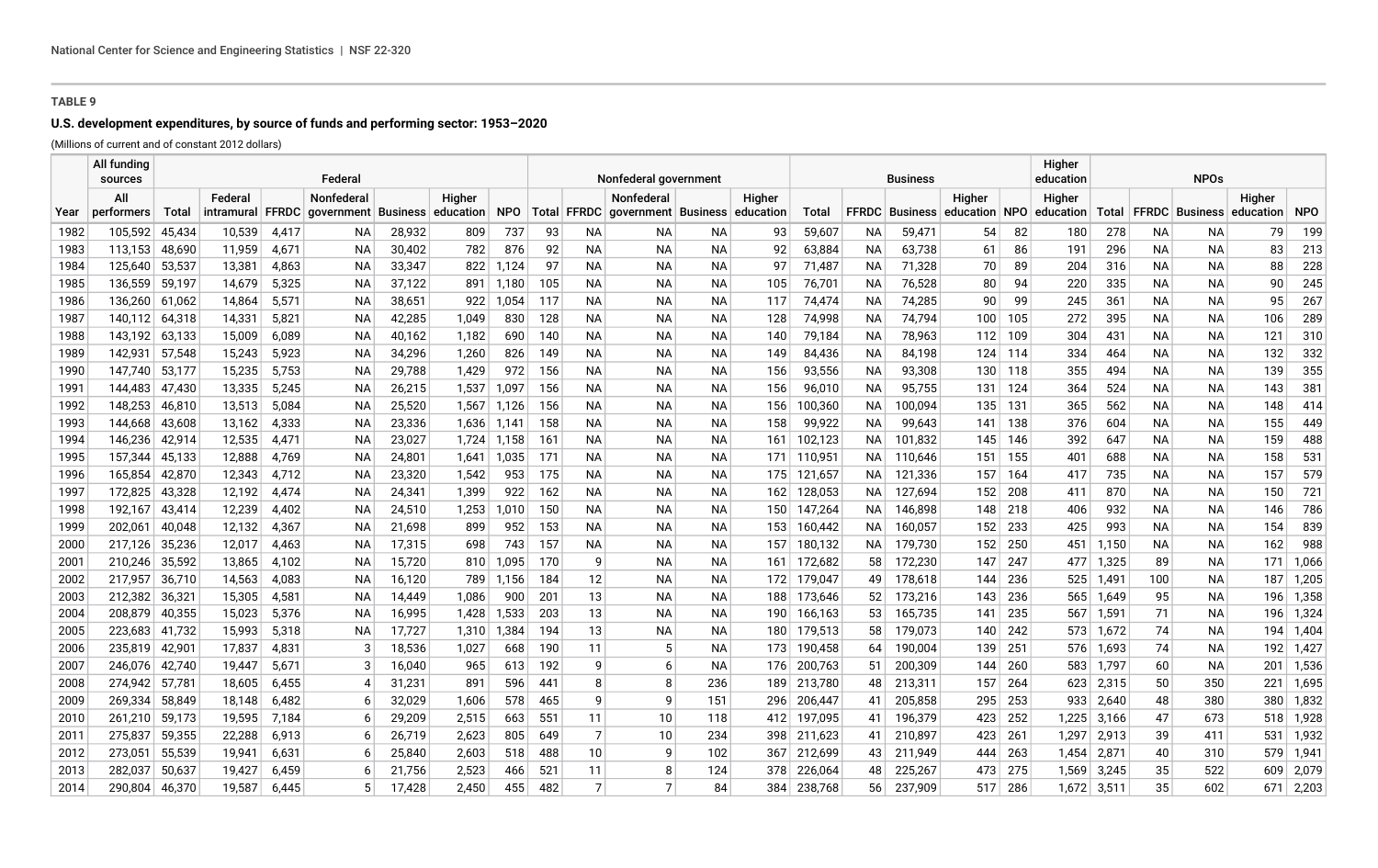# **U.S. development expenditures, by source of funds and performing sector: 1953–2020**

|              | All funding<br>sources |                  |                  |                | Federal             |                  |                |              | Nonfederal government |                |                                                   |                 |            |                    | Higher<br>education<br>Business |                       |               |            |            |                |           | <b>NPOs</b>              |            |                |  |  |  |  |
|--------------|------------------------|------------------|------------------|----------------|---------------------|------------------|----------------|--------------|-----------------------|----------------|---------------------------------------------------|-----------------|------------|--------------------|---------------------------------|-----------------------|---------------|------------|------------|----------------|-----------|--------------------------|------------|----------------|--|--|--|--|
|              | All                    |                  | Federal          |                | Nonfederal          |                  | Higher         |              |                       |                | <b>Nonfederal</b>                                 |                 | Higher     |                    |                                 |                       | Higher        |            | Higher     |                |           |                          | Higher     |                |  |  |  |  |
| Year         | performers             | Total            | intramural FFRDC |                | government Business |                  | education      | <b>NPO</b>   |                       |                | Total   FFRDC   government   Business   education |                 |            | Total              |                                 | <b>FFRDC</b> Business | education NPO |            | education  |                |           | Total   FFRDC   Business | education  | <b>NPO</b>     |  |  |  |  |
| 1982         | 105,592                | 45,434           | 10,539           | 4,417          | ΝA                  | 28,932           | 809            | 737          | 93                    | ΝA             | NА                                                | NА              | 93         | 59,607             | NA                              | 59,471                | 54            | 82         | 180        | 278            | NА        | NA.                      | 79         | 199            |  |  |  |  |
| 1983         | 113,153                | 48,690           | 11,959           | 4,671          | ΝA                  | 30,402           | 782            | 876          | 92                    | <b>NA</b>      | <b>NA</b>                                         | <b>NA</b>       | 92         | 63,884             | NA                              | 63,738                | 61            | 86         | 191        | 296            | NA.       | NA.                      | 83         | 213            |  |  |  |  |
| 1984         | 125,640                | 53,537           | 13,381           | 4,863          | <b>NA</b>           | 33,347           | 822            | .124         | 97                    | <b>NA</b>      | <b>NA</b>                                         | <b>NA</b>       | 97         | 71,487             | ΝA                              | 71,328                | 70            | 89         | 204        | 316            | <b>NA</b> | <b>NA</b>                | 88         | 228            |  |  |  |  |
| 1985         | 136,559                | 59,197           | 14,679           | 5,325          | <b>NA</b>           | 37,122           | 891            | 1,180        | 105                   | <b>NA</b>      | <b>NA</b>                                         | <b>NA</b>       | 105        | 76,701             | NA                              | 76,528                | 80            | 94         | 220        | 335            | <b>NA</b> | <b>NA</b>                | 90         | 245            |  |  |  |  |
| 1986         | 136,260                | 61,062           | 14,864           | 5,571          | <b>NA</b>           | 38,651           | 922            | .054         | 117                   | <b>NA</b>      | <b>NA</b>                                         | ΝA              | 117        | 74,474             | ΝA                              | 74,285                | 90            | 99         | 245        | 361            | NA.       | NA.                      | 95         | 267            |  |  |  |  |
| 1987         | 140.112                | 64,318           | 14,331           | 5,821          | <b>NA</b>           | 42,285           | 1,049          | 830          | 128                   | <b>NA</b>      | <b>NA</b>                                         | <b>NA</b>       | 128        | 74,998             | NA                              | 74,794                | 100           | 105        | 272        | 395            | <b>NA</b> | <b>NA</b>                | 106        | 289            |  |  |  |  |
| 1988         | 143.192                | 63,133           | 15,009           | 6,089          | <b>NA</b>           | 40,162           | 1,182          | 690          | 140                   | <b>NA</b>      | <b>NA</b>                                         | <b>NA</b>       | 140        | 79,184             | NА                              | 78,963                | 112           | 109        | 304        | 431            | <b>NA</b> | <b>NA</b>                | 121        | 310            |  |  |  |  |
| 1989         | 142,931                | 57,548           | 15,243           | 5,923          | <b>NA</b>           | 34,296           | 1,260          | 826          | 149                   | <b>NA</b>      | <b>NA</b>                                         | <b>NA</b>       | 149        | 84,436             | <b>NA</b>                       | 84,198                | 124           | 114        | 334        | 464            | <b>NA</b> | <b>NA</b>                | 132        | 332            |  |  |  |  |
| 1990         | 147,740                | 53,177           | 15,235           | 5,753          | <b>NA</b>           | 29,788           | 1,429          | 972          | 156                   | <b>NA</b>      | <b>NA</b>                                         | <b>NA</b>       | 156        | 93,556             | NA                              | 93,308                | 130           | 118        | 355        | 494            | <b>NA</b> | <b>NA</b>                | 139        | 355            |  |  |  |  |
| 1991         | 144,483                | 47,430           | 13,335           | 5,245          | ΝA                  | 26,215           | 1,537          | 1,097        | 156                   | NA             | <b>NA</b>                                         | NA              | 156        | 96,010             | NА                              | 95,755                | 131           | 124        | 364        | 524            | NA        | NА                       | 143        | 381            |  |  |  |  |
| 1992         | 148,253                | 46,810           | 13,513           | 5,084          | ΝA                  | 25,520           | 1,567          | 1,126        | 156                   | NA             | NА                                                | NA              | 156        | 100,360            | NА                              | 100,094               | 135           | 131        | 365        | 562            | NA        | NA.                      | 148        | 414            |  |  |  |  |
| 1993         | 144,668                | 43,608           | 13,162           | 4,333          | ΝA                  | 23,336           | 1,636          | 1,141        | 158                   | <b>NA</b>      | <b>NA</b>                                         | <b>NA</b>       | 158        | 99,922             | NA                              | 99,643                | 141           | 138        | 376        | 604            | NA        | <b>NA</b>                | 155        | 449            |  |  |  |  |
| 1994         | 146,236                | 42,914           | 12,535           | 4,471          | ΝA                  | 23,027           | 1,724          | 1,158        | 161                   | <b>NA</b>      | NA                                                | <b>NA</b>       | 161        | 102,123            | NA.                             | 101,832               | 145           | 146        | 392        | 647            | NA        | <b>NA</b>                | 159        | 488            |  |  |  |  |
| 1995         | 157,344                | 45,133           | 12,888           | 4,769          | ΝA                  | 24,801           | 1,641          | 1,035        | 171                   | <b>NA</b>      | NА                                                | <b>NA</b>       | 171        | 110,951            | NA l                            | 110,646               | 151           | 155        | 401        | 688            | NA        | <b>NA</b>                | 158        | 531            |  |  |  |  |
| 1996         | 165,854                | 42,870           | 12,343           | 4,712          | <b>NA</b>           | 23,320           | 1,542          | 953          | 175                   | <b>NA</b>      | <b>NA</b>                                         | <b>NA</b>       | 175        | 121,657            | NA.                             | 121,336               | 157           | 164        | 417        | 735            | <b>NA</b> | <b>NA</b>                | 157        | 579            |  |  |  |  |
| 1997         | 172,825                | 43,328           | 12,192           | 4,474          | <b>NA</b>           | 24,341           | 1,399          | 922          | 162                   | <b>NA</b>      | <b>NA</b>                                         | <b>NA</b>       | 162        | 128,053            | NA l                            | 127,694               | 152           | 208        | 411        | 870            | <b>NA</b> | <b>NA</b>                | 150        | 721            |  |  |  |  |
| 1998         | 192,167                | 43,414           | 12,239           | 4,402          | ΝA                  | 24,510           | 1,253          | 1,010        | 150                   | <b>NA</b>      | NA                                                | <b>NA</b>       | 150        | 147,264            | NA.                             | 146,898               | 148           | 218        | 406        | 932            | <b>NA</b> | NA                       | 146        | 786            |  |  |  |  |
| 1999         | 202,061                | 40,048           | 12,132           | 4,367          | <b>NA</b>           | 21,698           | 899            | 952          | 153                   | <b>NA</b>      | NA                                                | <b>NA</b>       | 153        | 160,442            | NA.                             | 160,057               | 152           | 233        | 425        | 993            | <b>NA</b> | <b>NA</b>                | 154        | 839            |  |  |  |  |
| 2000         | 217,126                | 35,236           | 12,017           | 4,463          | <b>NA</b>           | 17,315           | 698            | 743          | 157                   | <b>NA</b>      | <b>NA</b>                                         | <b>NA</b>       | 157        | 180,132            | NA l                            | 179,730               | 152           | 250        | 451        | 1,150          | <b>NA</b> | <b>NA</b>                | 162        | 988            |  |  |  |  |
| 2001         | 210,246                | 35,592           | 13,865           | 4,102          | <b>NA</b>           | 15,720           | 810            | 1,095        | 170                   | 9              | <b>NA</b>                                         | <b>NA</b>       | 161        | 172,682            | 58                              | 172,230               | 147           | 247        | 477        | 1,325          | 89        | <b>NA</b>                | 171        | 1,066          |  |  |  |  |
| 2002         | 217,957                | 36,710           | 14,563           | 4,083          | <b>NA</b>           | 16,120           | 789            | 1.156        | 184                   | 12             | <b>NA</b>                                         | <b>NA</b>       | 172        | 179,047            | 49                              | 178,618               | 144           | 236        | 525        | 1,491          | 100       | <b>NA</b>                | 187        | 1,205          |  |  |  |  |
| 2003         | 212,382                | 36,321           | 15,305           | 4,581          | ΝA                  | 14,449           | 1,086          | 900          | 201<br>203            | 13             | NA<br><b>NA</b>                                   | NA<br><b>NA</b> | 188        | 173,646            | 52                              | 173,216               | 143<br>141    | 236        | 565        | 1,649          | 95        | <b>NA</b>                | 196        | 1,358          |  |  |  |  |
| 2004         | 208,879                | 40,355           | 15,023           | 5,376          | ΝA                  | 16,995<br>17,727 | 1,428          | 1,533        |                       | 13<br>13       | NА                                                |                 | 190        | 166,163            | 53                              | 165,735               |               | 235<br>242 | 567        | 1,591          | 71<br>74  | <b>NA</b><br><b>NA</b>   | 196        | 1,324          |  |  |  |  |
| 2005<br>2006 | 223,683<br>235,819     | 41,732<br>42,901 | 15,993<br>17,837 | 5,318<br>4,831 | ΝA<br>-3            | 18,536           | 1,310<br>1,027 | 1,384<br>668 | 194<br>190            | 11             | 5                                                 | NA<br><b>NA</b> | 180<br>173 | 179,513<br>190,458 | 58<br>64                        | 179,073<br>190,004    | 140<br>139    | 251        | 573<br>576 | 1,672<br>1,693 | 74        | <b>NA</b>                | 194<br>192 | 1,404<br>1,427 |  |  |  |  |
| 2007         | 246,076                | 42,740           | 19,447           | 5,671          | 3                   | 16,040           | 965            | 613          | 192                   | 9              | 6                                                 | <b>NA</b>       | 176        | 200,763            | 51                              | 200,309               | 144           | 260        | 583        | 1,797          | 60        | <b>NA</b>                | 201        | 1,536          |  |  |  |  |
| 2008         | 274,942                | 57,781           | 18,605           | 6,455          | 4                   | 31,231           | 891            | 596          | 441                   | 8              | 8                                                 | 236             | 189        | 213,780            | 48                              | 213,311               | 157           | 264        | 623        | 2,315          | 50        | 350                      | 221        | 1,695          |  |  |  |  |
| 2009         | 269,334                | 58,849           | 18,148           | 6,482          | -6                  | 32,029           | 1,606          | 578          | 465                   | 9              | 9                                                 | 151             | 296        | 206,447            | 41                              | 205,858               | 295           | 253        | 933        | 2,640          | 48        | 380                      | 380        | 1,832          |  |  |  |  |
| 2010         | 261,210                | 59,173           | 19,595           | 7,184          | -6                  | 29,209           | 2,515          | 663          | 551                   | 11             | 10                                                | 118             |            | 412 197,095        | 41                              | 196,379               | 423           | 252        | 1,225      | 3,166          | 47        | 673                      | 518        | 1,928          |  |  |  |  |
| 2011         | 275,837                | 59,355           | 22,288           | 6,913          | -6                  | 26,719           | 2,623          | 805          | 649                   | $\overline{7}$ | 10                                                | 234             | 398        | 211,623            | 41                              | 210,897               | 423           | 261        | 1,297      | 2,913          | 39        | 411                      | 531        | 1,932          |  |  |  |  |
| 2012         | 273,051                | 55,539           | 19.941           | 6,631          | -6                  | 25,840           | 2,603          | 518          | 488                   | 10             | 9                                                 | 102             |            | 367 212,699        | 43                              | 211,949               | 444           | 263        | 1,454      | 2,871          | 40        | 310                      | 579        | 1,941          |  |  |  |  |
| 2013         | 282,037                | 50,637           | 19,427           | 6,459          | -6                  | 21,756           | 2,523          | 466          | 521                   | 11             | 8                                                 | 124             | 378        | 226,064            | 48                              | 225,267               | 473           | 275        | 1,569      | 3,245          | 35        | 522                      | 609        | 2,079          |  |  |  |  |
| 2014         | 290,804                | 46,370           | 19,587           | 6.445          |                     | 17.428           | 2.450          | 455          | 482                   | $\overline{7}$ | 7                                                 | 84              | 384        | 238,768            | 56                              | 237,909               | 517           | 286        | 1,672      | 3,511          | 35        | 602                      | 671        | 2,203          |  |  |  |  |
|              |                        |                  |                  |                |                     |                  |                |              |                       |                |                                                   |                 |            |                    |                                 |                       |               |            |            |                |           |                          |            |                |  |  |  |  |